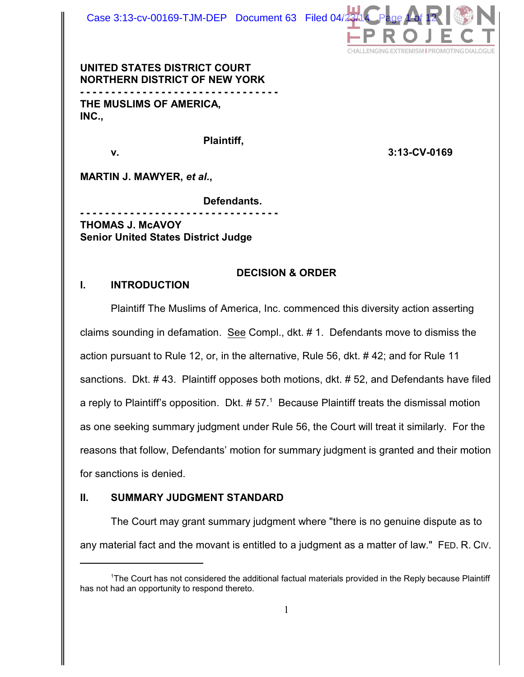

**UNITED STATES DISTRICT COURT NORTHERN DISTRICT OF NEW YORK - - - - - - - - - - - - - - - - - - - - - - - - - - - - - - - - THE MUSLIMS OF AMERICA, INC.,**

**Plaintiff,**

**v. 3:13-CV-0169**

**MARTIN J. MAWYER,** *et al.***,**

**Defendants.**

**- - - - - - - - - - - - - - - - - - - - - - - - - - - - - - - - THOMAS J. McAVOY Senior United States District Judge**

## **DECISION & ORDER**

#### **I. INTRODUCTION**

Plaintiff The Muslims of America, Inc. commenced this diversity action asserting claims sounding in defamation. See Compl., dkt. # 1. Defendants move to dismiss the action pursuant to Rule 12, or, in the alternative, Rule 56, dkt. # 42; and for Rule 11 sanctions. Dkt. # 43. Plaintiff opposes both motions, dkt. # 52, and Defendants have filed a reply to Plaintiff's opposition. Dkt.  $# 57<sup>1</sup>$  Because Plaintiff treats the dismissal motion as one seeking summary judgment under Rule 56, the Court will treat it similarly. For the reasons that follow, Defendants' motion for summary judgment is granted and their motion for sanctions is denied.

## **II. SUMMARY JUDGMENT STANDARD**

The Court may grant summary judgment where "there is no genuine dispute as to any material fact and the movant is entitled to a judgment as a matter of law." FED. R. CIV.

<sup>&</sup>lt;sup>1</sup>The Court has not considered the additional factual materials provided in the Reply because Plaintiff has not had an opportunity to respond thereto.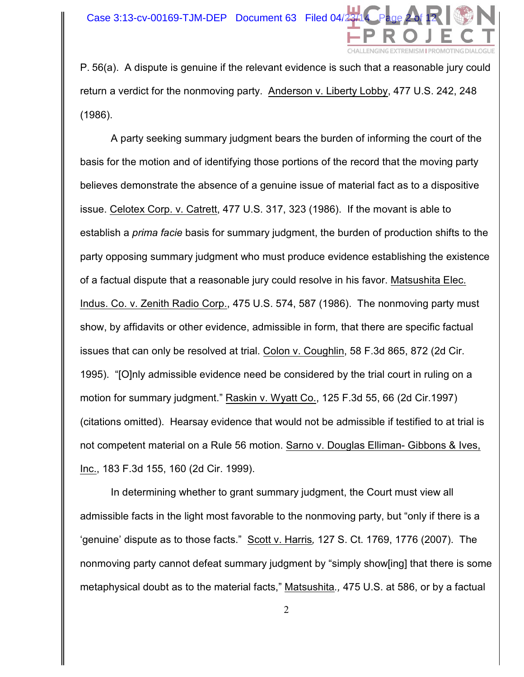

P. 56(a). A dispute is genuine if the relevant evidence is such that a reasonable jury could return a verdict for the nonmoving party. Anderson v. Liberty Lobby, 477 U.S. 242, 248 (1986).

A party seeking summary judgment bears the burden of informing the court of the basis for the motion and of identifying those portions of the record that the moving party believes demonstrate the absence of a genuine issue of material fact as to a dispositive issue. Celotex Corp. v. Catrett, 477 U.S. 317, 323 (1986). If the movant is able to establish a *prima facie* basis for summary judgment, the burden of production shifts to the party opposing summary judgment who must produce evidence establishing the existence of a factual dispute that a reasonable jury could resolve in his favor. Matsushita Elec. Indus. Co. v. Zenith Radio Corp., 475 U.S. 574, 587 (1986). The nonmoving party must show, by affidavits or other evidence, admissible in form, that there are specific factual issues that can only be resolved at trial. Colon v. Coughlin, 58 F.3d 865, 872 (2d Cir. 1995). "[O]nly admissible evidence need be considered by the trial court in ruling on a motion for summary judgment." Raskin v. Wyatt Co., 125 F.3d 55, 66 (2d Cir.1997) (citations omitted). Hearsay evidence that would not be admissible if testified to at trial is not competent material on a Rule 56 motion. Sarno v. Douglas Elliman- Gibbons & Ives, Inc., 183 F.3d 155, 160 (2d Cir. 1999).

In determining whether to grant summary judgment, the Court must view all admissible facts in the light most favorable to the nonmoving party, but "only if there is a 'genuine' dispute as to those facts."Scott v. Harris*,* 127 S. Ct. 1769, 1776 (2007). The nonmoving party cannot defeat summary judgment by "simply show[ing] that there is some metaphysical doubt as to the material facts," Matsushita*.,* 475 U.S. at 586, or by a factual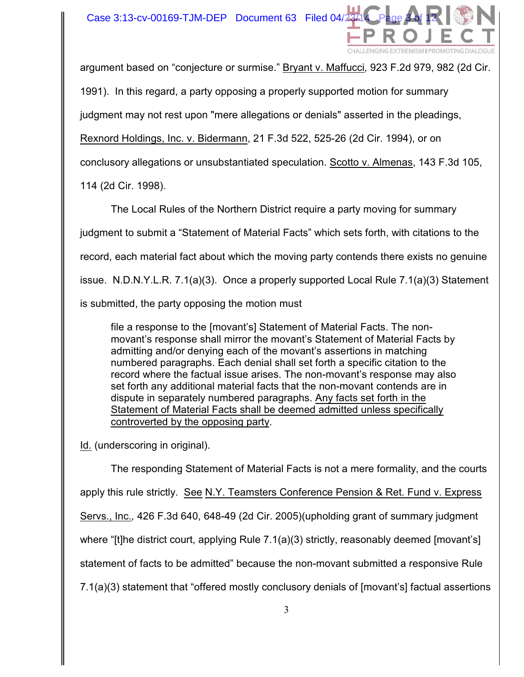Case 3:13-cv-00169-TJM-DEP Document 63 Filed 04 $\frac{1}{4}$ 



argument based on "conjecture or surmise." Bryant v. Maffucci*,* 923 F.2d 979, 982 (2d Cir.

1991). In this regard, a party opposing a properly supported motion for summary

judgment may not rest upon "mere allegations or denials" asserted in the pleadings,

Rexnord Holdings, Inc. v. Bidermann, 21 F.3d 522, 525-26 (2d Cir. 1994), or on

conclusory allegations or unsubstantiated speculation. Scotto v. Almenas, 143 F.3d 105,

114 (2d Cir. 1998).

The Local Rules of the Northern District require a party moving for summary judgment to submit a "Statement of Material Facts" which sets forth, with citations to the record, each material fact about which the moving party contends there exists no genuine issue. N.D.N.Y.L.R. 7.1(a)(3). Once a properly supported Local Rule 7.1(a)(3) Statement is submitted, the party opposing the motion must

file a response to the [movant's] Statement of Material Facts. The nonmovant's response shall mirror the movant's Statement of Material Facts by admitting and/or denying each of the movant's assertions in matching numbered paragraphs. Each denial shall set forth a specific citation to the record where the factual issue arises. The non-movant's response may also set forth any additional material facts that the non-movant contends are in dispute in separately numbered paragraphs. Any facts set forth in the Statement of Material Facts shall be deemed admitted unless specifically controverted by the opposing party.

Id. (underscoring in original).

The responding Statement of Material Facts is not a mere formality, and the courts apply this rule strictly. See N.Y. Teamsters Conference Pension & Ret. Fund v. Express Servs., Inc.*,* 426 F.3d 640, 648-49 (2d Cir. 2005)(upholding grant of summary judgment where "[t]he district court, applying Rule 7.1(a)(3) strictly, reasonably deemed [movant's] statement of facts to be admitted" because the non-movant submitted a responsive Rule 7.1(a)(3) statement that "offered mostly conclusory denials of [movant's] factual assertions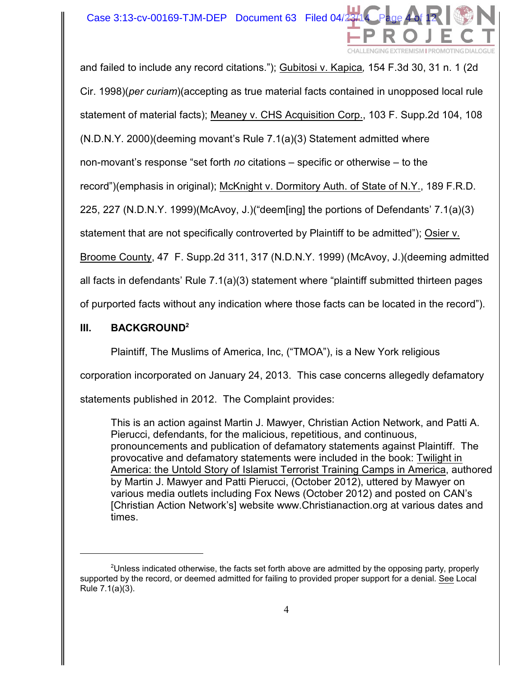

and failed to include any record citations."); Gubitosi v. Kapica*,* 154 F.3d 30, 31 n. 1 (2d Cir. 1998)(*per curiam*)(accepting as true material facts contained in unopposed local rule

statement of material facts); Meaney v. CHS Acquisition Corp., 103 F. Supp.2d 104, 108

(N.D.N.Y. 2000)(deeming movant's Rule 7.1(a)(3) Statement admitted where

non-movant's response "set forth *no* citations – specific or otherwise – to the

record")(emphasis in original); McKnight v. Dormitory Auth. of State of N.Y., 189 F.R.D.

225, 227 (N.D.N.Y. 1999)(McAvoy, J.)("deem[ing] the portions of Defendants' 7.1(a)(3)

statement that are not specifically controverted by Plaintiff to be admitted"); Osier v.

Broome County, 47 F. Supp.2d 311, 317 (N.D.N.Y. 1999) (McAvoy, J.)(deeming admitted

all facts in defendants' Rule 7.1(a)(3) statement where "plaintiff submitted thirteen pages

of purported facts without any indication where those facts can be located in the record").

#### **III. BACKGROUND<sup>2</sup>**

Plaintiff, The Muslims of America, Inc, ("TMOA"), is a New York religious

corporation incorporated on January 24, 2013. This case concerns allegedly defamatory

statements published in 2012. The Complaint provides:

This is an action against Martin J. Mawyer, Christian Action Network, and Patti A. Pierucci, defendants, for the malicious, repetitious, and continuous, pronouncements and publication of defamatory statements against Plaintiff. The provocative and defamatory statements were included in the book: Twilight in America: the Untold Story of Islamist Terrorist Training Camps in America, authored by Martin J. Mawyer and Patti Pierucci, (October 2012), uttered by Mawyer on various media outlets including Fox News (October 2012) and posted on CAN's [Christian Action Network's] website www.Christianaction.org at various dates and times.

 $\textsuperscript{2}$ Unless indicated otherwise, the facts set forth above are admitted by the opposing party, properly supported by the record, or deemed admitted for failing to provided proper support for a denial. See Local Rule 7.1(a)(3).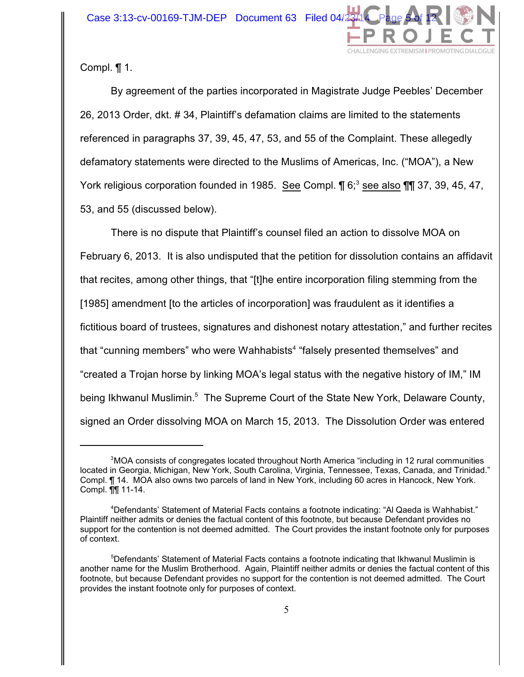

Compl. ¶ 1.

By agreement of the parties incorporated in Magistrate Judge Peebles' December 26, 2013 Order, dkt. # 34, Plaintiff's defamation claims are limited to the statements referenced in paragraphs 37, 39, 45, 47, 53, and 55 of the Complaint. These allegedly defamatory statements were directed to the Muslims of Americas, Inc. ("MOA"), a New York religious corporation founded in 1985. See Compl.  $\P$  6;<sup>3</sup> see also  $\P$   $\P$  37, 39, 45, 47, 53, and 55 (discussed below).

There is no dispute that Plaintiff's counsel filed an action to dissolve MOA on February 6, 2013. It is also undisputed that the petition for dissolution contains an affidavit that recites, among other things, that "[t]he entire incorporation filing stemming from the [1985] amendment [to the articles of incorporation] was fraudulent as it identifies a fictitious board of trustees, signatures and dishonest notary attestation," and further recites that "cunning members" who were Wahhabists<sup>4</sup> "falsely presented themselves" and "created a Trojan horse by linking MOA's legal status with the negative history of IM," IM being Ikhwanul Muslimin.<sup>5</sup> The Supreme Court of the State New York, Delaware County, signed an Order dissolving MOA on March 15, 2013. The Dissolution Order was entered

<sup>&</sup>lt;sup>3</sup> MOA consists of congregates located throughout North America "including in 12 rural communities located in Georgia, Michigan, New York, South Carolina, Virginia, Tennessee, Texas, Canada, and Trinidad." Compl. ¶ 14. MOA also owns two parcels of land in New York, including 60 acres in Hancock, New York. Compl. ¶¶ 11-14.

Defendants' Statement of Material Facts contains a footnote indicating: "Al Qaeda is Wahhabist." <sup>4</sup> Plaintiff neither admits or denies the factual content of this footnote, but because Defendant provides no support for the contention is not deemed admitted. The Court provides the instant footnote only for purposes of context.

<sup>&</sup>lt;sup>5</sup>Defendants' Statement of Material Facts contains a footnote indicating that Ikhwanul Muslimin is another name for the Muslim Brotherhood. Again, Plaintiff neither admits or denies the factual content of this footnote, but because Defendant provides no support for the contention is not deemed admitted. The Court provides the instant footnote only for purposes of context.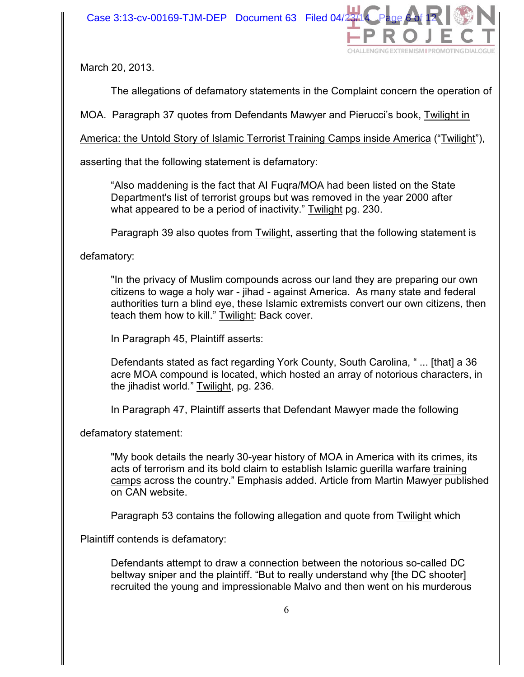

March 20, 2013.

The allegations of defamatory statements in the Complaint concern the operation of

MOA. Paragraph 37 quotes from Defendants Mawyer and Pierucci's book, Twilight in

America: the Untold Story of Islamic Terrorist Training Camps inside America ("Twilight"),

asserting that the following statement is defamatory:

"Also maddening is the fact that AI Fuqra/MOA had been listed on the State Department's list of terrorist groups but was removed in the year 2000 after what appeared to be a period of inactivity." Twilight pg. 230.

Paragraph 39 also quotes from Twilight, asserting that the following statement is

defamatory:

"In the privacy of Muslim compounds across our land they are preparing our own citizens to wage a holy war - jihad - against America. As many state and federal authorities turn a blind eye, these Islamic extremists convert our own citizens, then teach them how to kill." Twilight: Back cover.

In Paragraph 45, Plaintiff asserts:

Defendants stated as fact regarding York County, South Carolina, " ... [that] a 36 acre MOA compound is located, which hosted an array of notorious characters, in the jihadist world." Twilight, pg. 236.

In Paragraph 47, Plaintiff asserts that Defendant Mawyer made the following

defamatory statement:

"My book details the nearly 30-year history of MOA in America with its crimes, its acts of terrorism and its bold claim to establish Islamic guerilla warfare training camps across the country." Emphasis added. Article from Martin Mawyer published on CAN website.

Paragraph 53 contains the following allegation and quote from Twilight which

Plaintiff contends is defamatory:

Defendants attempt to draw a connection between the notorious so-called DC beltway sniper and the plaintiff. "But to really understand why [the DC shooter] recruited the young and impressionable Malvo and then went on his murderous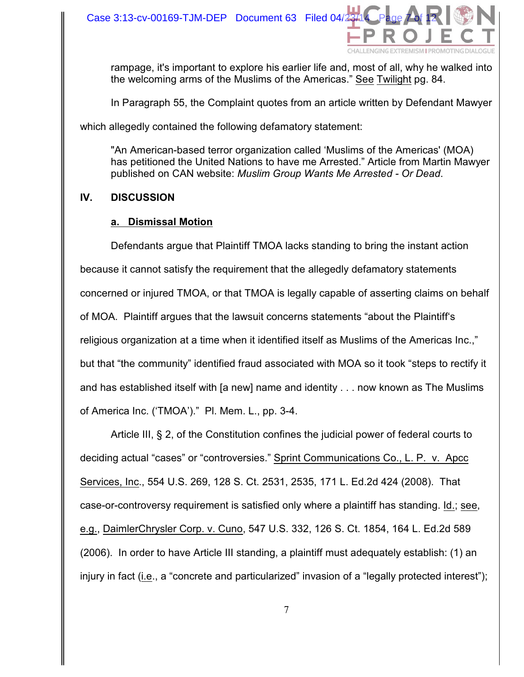

rampage, it's important to explore his earlier life and, most of all, why he walked into the welcoming arms of the Muslims of the Americas." See Twilight pg. 84.

In Paragraph 55, the Complaint quotes from an article written by Defendant Mawyer

which allegedly contained the following defamatory statement:

"An American-based terror organization called 'Muslims of the Americas' (MOA) has petitioned the United Nations to have me Arrested." Article from Martin Mawyer published on CAN website: *Muslim Group Wants Me Arrested - Or Dead*.

## **IV. DISCUSSION**

## **a. Dismissal Motion**

Defendants argue that Plaintiff TMOA lacks standing to bring the instant action because it cannot satisfy the requirement that the allegedly defamatory statements concerned or injured TMOA, or that TMOA is legally capable of asserting claims on behalf of MOA. Plaintiff argues that the lawsuit concerns statements "about the Plaintiff's religious organization at a time when it identified itself as Muslims of the Americas Inc.," but that "the community" identified fraud associated with MOA so it took "steps to rectify it and has established itself with [a new] name and identity . . . now known as The Muslims of America Inc. ('TMOA')." Pl. Mem. L., pp. 3-4.

Article III, § 2, of the Constitution confines the judicial power of federal courts to deciding actual "cases" or "controversies." Sprint Communications Co., L. P. v. Apcc Services, Inc., 554 U.S. 269, 128 S. Ct. 2531, 2535, 171 L. Ed.2d 424 (2008). That case-or-controversy requirement is satisfied only where a plaintiff has standing. Id.; see, e.g., DaimlerChrysler Corp. v. Cuno, 547 U.S. 332, 126 S. Ct. 1854, 164 L. Ed.2d 589 (2006). In order to have Article III standing, a plaintiff must adequately establish: (1) an injury in fact (i.e., a "concrete and particularized" invasion of a "legally protected interest");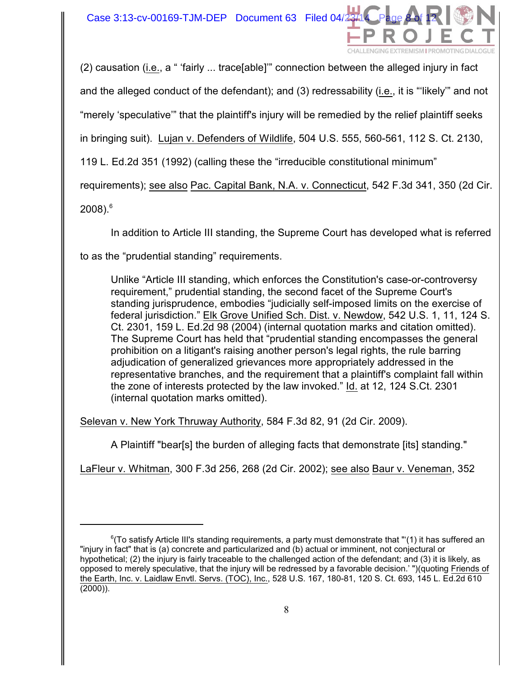

(2) causation (i.e., a " 'fairly ... trace[able]'" connection between the alleged injury in fact and the alleged conduct of the defendant); and (3) redressability (i.e., it is "'likely'" and not "merely 'speculative'" that the plaintiff's injury will be remedied by the relief plaintiff seeks in bringing suit). Lujan v. Defenders of Wildlife, 504 U.S. 555, 560-561, 112 S. Ct. 2130, 119 L. Ed.2d 351 (1992) (calling these the "irreducible constitutional minimum" requirements); see also Pac. Capital Bank, N.A. v. Connecticut, 542 F.3d 341, 350 (2d Cir.

 $2008$ ).  $6$ 

In addition to Article III standing, the Supreme Court has developed what is referred

to as the "prudential standing" requirements.

Unlike "Article III standing, which enforces the Constitution's case-or-controversy requirement," prudential standing, the second facet of the Supreme Court's standing jurisprudence, embodies "judicially self-imposed limits on the exercise of federal jurisdiction." Elk Grove Unified Sch. Dist. v. Newdow, 542 U.S. 1, 11, 124 S. Ct. 2301, 159 L. Ed.2d 98 (2004) (internal quotation marks and citation omitted). The Supreme Court has held that "prudential standing encompasses the general prohibition on a litigant's raising another person's legal rights, the rule barring adjudication of generalized grievances more appropriately addressed in the representative branches, and the requirement that a plaintiff's complaint fall within the zone of interests protected by the law invoked." Id. at 12, 124 S.Ct. 2301 (internal quotation marks omitted).

Selevan v. New York Thruway Authority, 584 F.3d 82, 91 (2d Cir. 2009).

A Plaintiff "bear[s] the burden of alleging facts that demonstrate [its] standing."

LaFleur v. Whitman, 300 F.3d 256, 268 (2d Cir. 2002); see also Baur v. Veneman, 352

 $6$ (To satisfy Article III's standing requirements, a party must demonstrate that "'(1) it has suffered an "injury in fact" that is (a) concrete and particularized and (b) actual or imminent, not conjectural or hypothetical; (2) the injury is fairly traceable to the challenged action of the defendant; and (3) it is likely, as opposed to merely speculative, that the injury will be redressed by a favorable decision.' ")(quoting Friends of the Earth, Inc. v. Laidlaw Envtl. Servs. (TOC), Inc., 528 U.S. 167, 180-81, 120 S. Ct. 693, 145 L. Ed.2d 610 (2000)).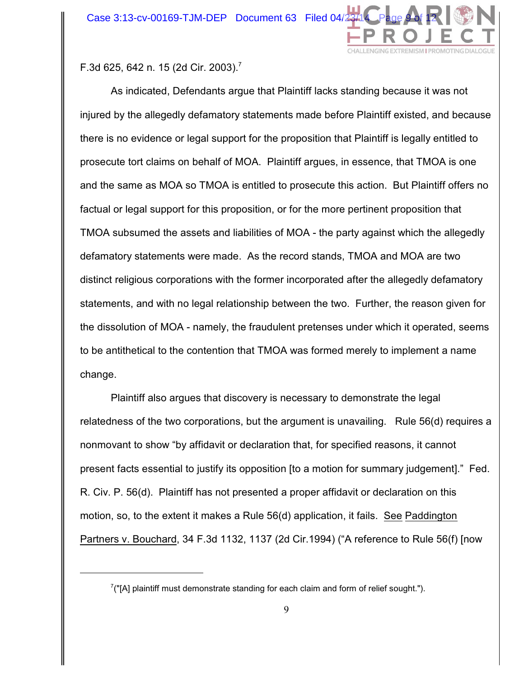

F.3d 625, 642 n. 15 (2d Cir. 2003).<sup>7</sup>

As indicated, Defendants argue that Plaintiff lacks standing because it was not injured by the allegedly defamatory statements made before Plaintiff existed, and because there is no evidence or legal support for the proposition that Plaintiff is legally entitled to prosecute tort claims on behalf of MOA. Plaintiff argues, in essence, that TMOA is one and the same as MOA so TMOA is entitled to prosecute this action. But Plaintiff offers no factual or legal support for this proposition, or for the more pertinent proposition that TMOA subsumed the assets and liabilities of MOA - the party against which the allegedly defamatory statements were made. As the record stands, TMOA and MOA are two distinct religious corporations with the former incorporated after the allegedly defamatory statements, and with no legal relationship between the two. Further, the reason given for the dissolution of MOA - namely, the fraudulent pretenses under which it operated, seems to be antithetical to the contention that TMOA was formed merely to implement a name change.

Plaintiff also argues that discovery is necessary to demonstrate the legal relatedness of the two corporations, but the argument is unavailing. Rule 56(d) requires a nonmovant to show "by affidavit or declaration that, for specified reasons, it cannot present facts essential to justify its opposition [to a motion for summary judgement]." Fed. R. Civ. P. 56(d). Plaintiff has not presented a proper affidavit or declaration on this motion, so, to the extent it makes a Rule 56(d) application, it fails. See Paddington Partners v. Bouchard, 34 F.3d 1132, 1137 (2d Cir.1994) ("A reference to Rule 56(f) [now

 $7$ ("[A] plaintiff must demonstrate standing for each claim and form of relief sought.").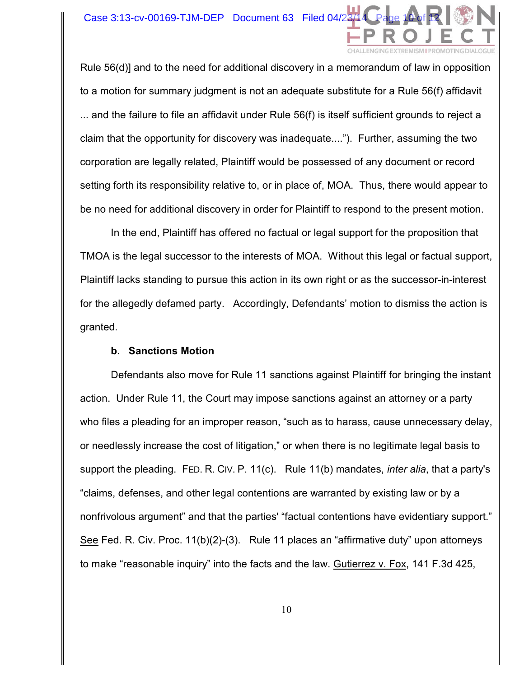

Rule 56(d)] and to the need for additional discovery in a memorandum of law in opposition to a motion for summary judgment is not an adequate substitute for a Rule 56(f) affidavit ... and the failure to file an affidavit under Rule 56(f) is itself sufficient grounds to reject a claim that the opportunity for discovery was inadequate...."). Further, assuming the two corporation are legally related, Plaintiff would be possessed of any document or record setting forth its responsibility relative to, or in place of, MOA. Thus, there would appear to be no need for additional discovery in order for Plaintiff to respond to the present motion.

In the end, Plaintiff has offered no factual or legal support for the proposition that TMOA is the legal successor to the interests of MOA. Without this legal or factual support, Plaintiff lacks standing to pursue this action in its own right or as the successor-in-interest for the allegedly defamed party. Accordingly, Defendants' motion to dismiss the action is granted.

#### **b. Sanctions Motion**

Defendants also move for Rule 11 sanctions against Plaintiff for bringing the instant action. Under Rule 11, the Court may impose sanctions against an attorney or a party who files a pleading for an improper reason, "such as to harass, cause unnecessary delay, or needlessly increase the cost of litigation," or when there is no legitimate legal basis to support the pleading. FED. R. CIV. P. 11(c). Rule 11(b) mandates, *inter alia*, that a party's "claims, defenses, and other legal contentions are warranted by existing law or by a nonfrivolous argument" and that the parties' "factual contentions have evidentiary support." See Fed. R. Civ. Proc. 11(b)(2)-(3). Rule 11 places an "affirmative duty" upon attorneys to make "reasonable inquiry" into the facts and the law. Gutierrez v. Fox, 141 F.3d 425,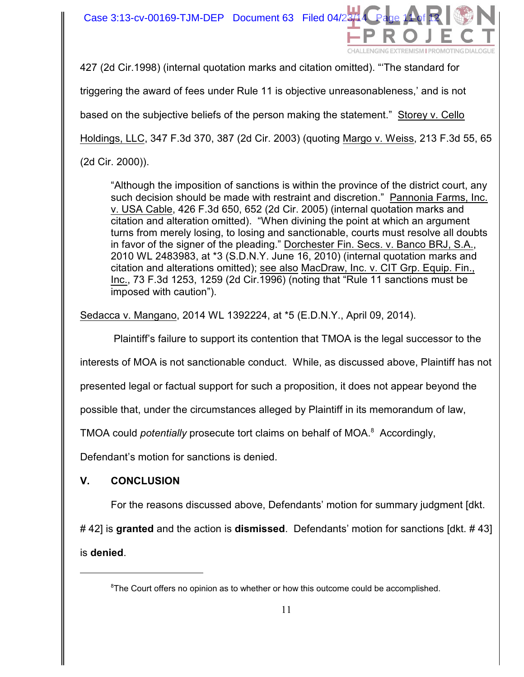

427 (2d Cir.1998) (internal quotation marks and citation omitted). "'The standard for

triggering the award of fees under Rule 11 is objective unreasonableness,' and is not

based on the subjective beliefs of the person making the statement." Storey v. Cello

Holdings, LLC, 347 F.3d 370, 387 (2d Cir. 2003) (quoting Margo v. Weiss, 213 F.3d 55, 65

(2d Cir. 2000)).

"Although the imposition of sanctions is within the province of the district court, any such decision should be made with restraint and discretion." Pannonia Farms, Inc. v. USA Cable, 426 F.3d 650, 652 (2d Cir. 2005) (internal quotation marks and citation and alteration omitted). "When divining the point at which an argument turns from merely losing, to losing and sanctionable, courts must resolve all doubts in favor of the signer of the pleading." Dorchester Fin. Secs. v. Banco BRJ, S.A., 2010 WL 2483983, at \*3 (S.D.N.Y. June 16, 2010) (internal quotation marks and citation and alterations omitted); see also MacDraw, Inc. v. CIT Grp. Equip. Fin., Inc., 73 F.3d 1253, 1259 (2d Cir.1996) (noting that "Rule 11 sanctions must be imposed with caution").

Sedacca v. Mangano, 2014 WL 1392224, at \*5 (E.D.N.Y., April 09, 2014).

Plaintiff's failure to support its contention that TMOA is the legal successor to the

interests of MOA is not sanctionable conduct. While, as discussed above, Plaintiff has not

presented legal or factual support for such a proposition, it does not appear beyond the

possible that, under the circumstances alleged by Plaintiff in its memorandum of law,

TMOA could *potentially* prosecute tort claims on behalf of MOA.<sup>8</sup> Accordingly,

Defendant's motion for sanctions is denied.

# **V. CONCLUSION**

For the reasons discussed above, Defendants' motion for summary judgment [dkt.

# 42] is **granted** and the action is **dismissed**. Defendants' motion for sanctions [dkt. # 43]

is **denied**.

 ${}^{8}$ The Court offers no opinion as to whether or how this outcome could be accomplished.